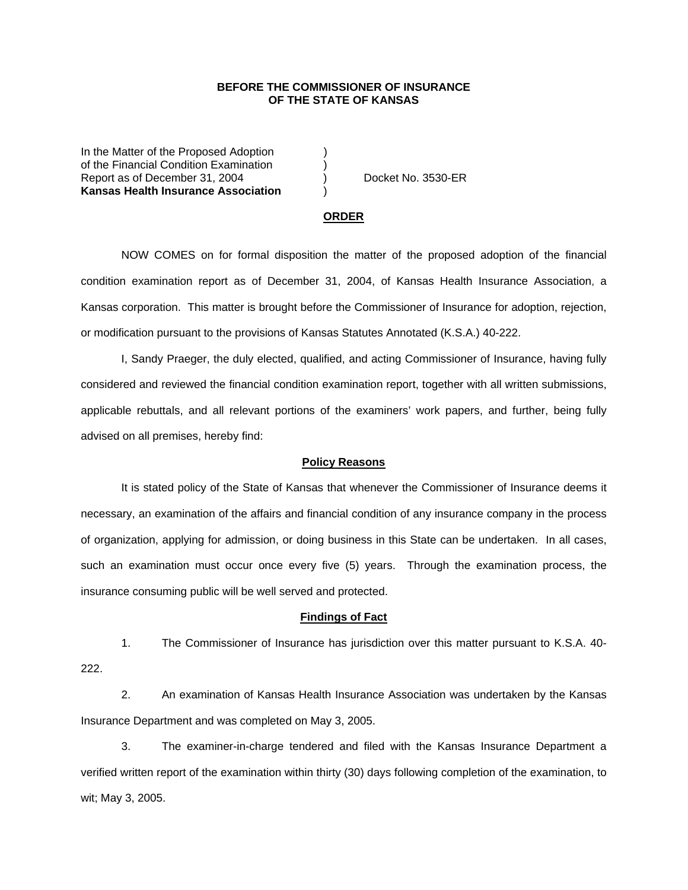# **BEFORE THE COMMISSIONER OF INSURANCE OF THE STATE OF KANSAS**

In the Matter of the Proposed Adoption of the Financial Condition Examination ) Report as of December 31, 2004 (a) (b) Docket No. 3530-ER **Kansas Health Insurance Association** )

#### **ORDER**

 NOW COMES on for formal disposition the matter of the proposed adoption of the financial condition examination report as of December 31, 2004, of Kansas Health Insurance Association, a Kansas corporation. This matter is brought before the Commissioner of Insurance for adoption, rejection, or modification pursuant to the provisions of Kansas Statutes Annotated (K.S.A.) 40-222.

 I, Sandy Praeger, the duly elected, qualified, and acting Commissioner of Insurance, having fully considered and reviewed the financial condition examination report, together with all written submissions, applicable rebuttals, and all relevant portions of the examiners' work papers, and further, being fully advised on all premises, hereby find:

### **Policy Reasons**

 It is stated policy of the State of Kansas that whenever the Commissioner of Insurance deems it necessary, an examination of the affairs and financial condition of any insurance company in the process of organization, applying for admission, or doing business in this State can be undertaken. In all cases, such an examination must occur once every five (5) years. Through the examination process, the insurance consuming public will be well served and protected.

### **Findings of Fact**

 1. The Commissioner of Insurance has jurisdiction over this matter pursuant to K.S.A. 40- 222.

 2. An examination of Kansas Health Insurance Association was undertaken by the Kansas Insurance Department and was completed on May 3, 2005.

 3. The examiner-in-charge tendered and filed with the Kansas Insurance Department a verified written report of the examination within thirty (30) days following completion of the examination, to wit; May 3, 2005.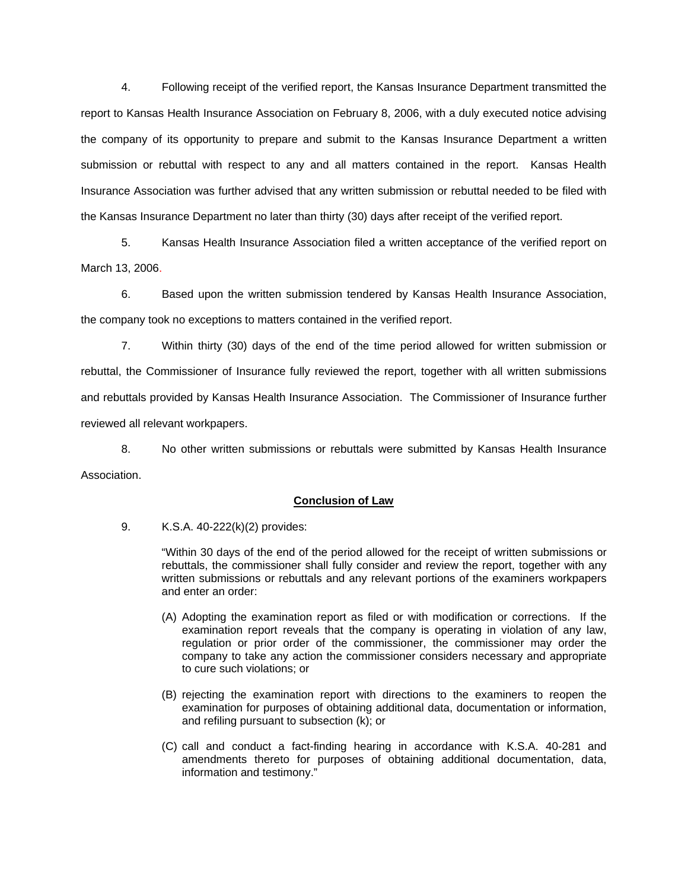4. Following receipt of the verified report, the Kansas Insurance Department transmitted the report to Kansas Health Insurance Association on February 8, 2006, with a duly executed notice advising the company of its opportunity to prepare and submit to the Kansas Insurance Department a written submission or rebuttal with respect to any and all matters contained in the report. Kansas Health Insurance Association was further advised that any written submission or rebuttal needed to be filed with the Kansas Insurance Department no later than thirty (30) days after receipt of the verified report.

 5. Kansas Health Insurance Association filed a written acceptance of the verified report on March 13, 2006.

6. Based upon the written submission tendered by Kansas Health Insurance Association, the company took no exceptions to matters contained in the verified report.

 7. Within thirty (30) days of the end of the time period allowed for written submission or rebuttal, the Commissioner of Insurance fully reviewed the report, together with all written submissions and rebuttals provided by Kansas Health Insurance Association. The Commissioner of Insurance further reviewed all relevant workpapers.

 8. No other written submissions or rebuttals were submitted by Kansas Health Insurance Association.

## **Conclusion of Law**

9. K.S.A. 40-222(k)(2) provides:

"Within 30 days of the end of the period allowed for the receipt of written submissions or rebuttals, the commissioner shall fully consider and review the report, together with any written submissions or rebuttals and any relevant portions of the examiners workpapers and enter an order:

- (A) Adopting the examination report as filed or with modification or corrections. If the examination report reveals that the company is operating in violation of any law, regulation or prior order of the commissioner, the commissioner may order the company to take any action the commissioner considers necessary and appropriate to cure such violations; or
- (B) rejecting the examination report with directions to the examiners to reopen the examination for purposes of obtaining additional data, documentation or information, and refiling pursuant to subsection (k); or
- (C) call and conduct a fact-finding hearing in accordance with K.S.A. 40-281 and amendments thereto for purposes of obtaining additional documentation, data, information and testimony."